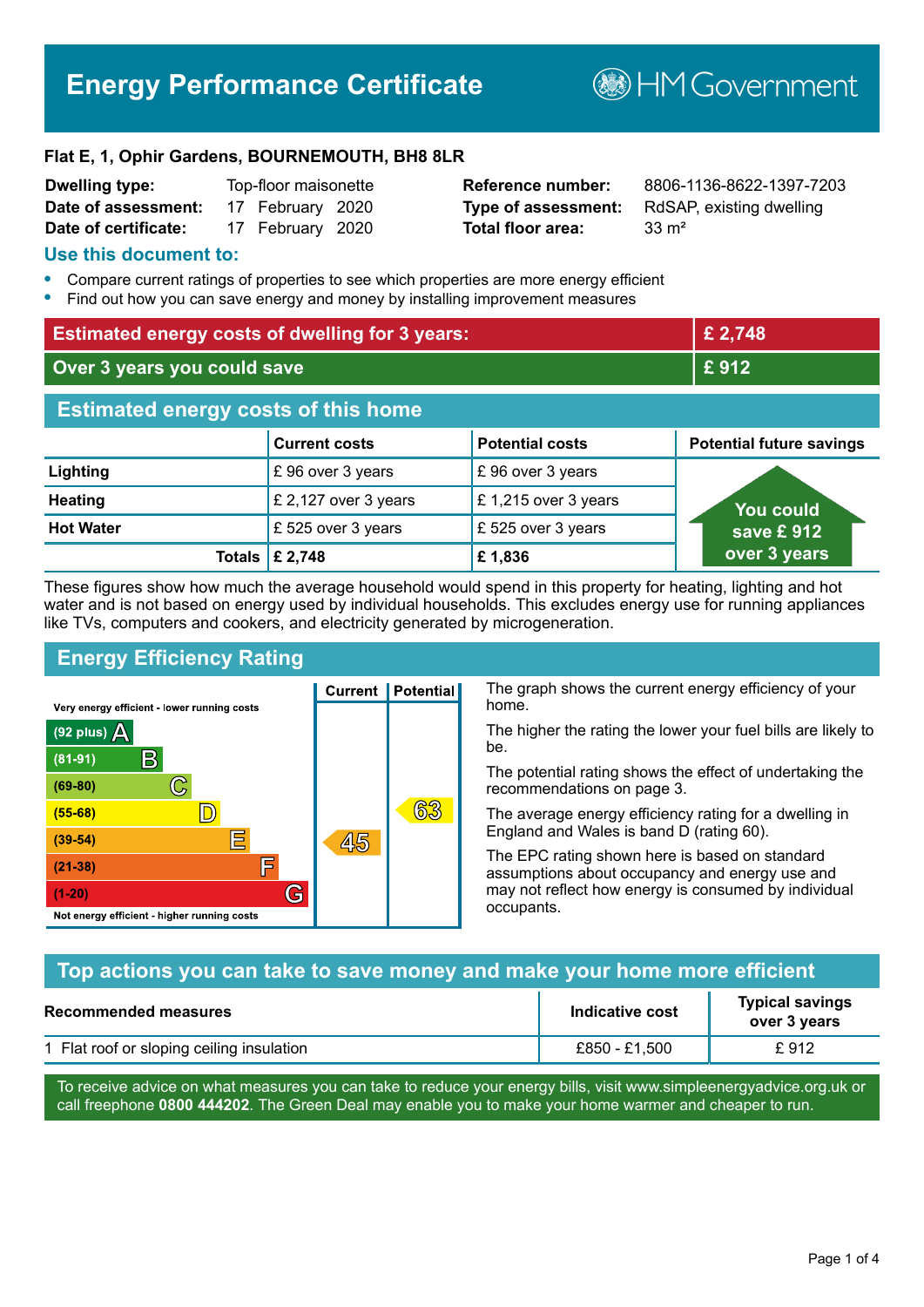# **Energy Performance Certificate**

**B**HM Government

#### **Flat E, 1, Ophir Gardens, BOURNEMOUTH, BH8 8LR**

| <b>Dwelling type:</b> | Top-floor maisonette |  |
|-----------------------|----------------------|--|
| Date of assessment:   | 17 February 2020     |  |
| Date of certificate:  | 17 February 2020     |  |

# **Total floor area:** 33 m<sup>2</sup>

**Reference number:** 8806-1136-8622-1397-7203 **Type of assessment:** RdSAP, existing dwelling

#### **Use this document to:**

- **•** Compare current ratings of properties to see which properties are more energy efficient
- **•** Find out how you can save energy and money by installing improvement measures

| <b>Estimated energy costs of dwelling for 3 years:</b> |                                 |                        | £ 2,748                         |
|--------------------------------------------------------|---------------------------------|------------------------|---------------------------------|
| Over 3 years you could save                            |                                 |                        | £912                            |
| <b>Estimated energy costs of this home</b>             |                                 |                        |                                 |
|                                                        | <b>Current costs</b>            | <b>Potential costs</b> | <b>Potential future savings</b> |
| Lighting                                               | £96 over 3 years                | £96 over 3 years       |                                 |
| <b>Heating</b>                                         | £ 2,127 over 3 years            | £1,215 over 3 years    | <b>You could</b>                |
| <b>Hot Water</b>                                       | £525 over 3 years               | £525 over 3 years      | save £ $912$                    |
|                                                        | Totals $\mathbf{\hat{E}}$ 2,748 | £1,836                 | over 3 years                    |

These figures show how much the average household would spend in this property for heating, lighting and hot water and is not based on energy used by individual households. This excludes energy use for running appliances like TVs, computers and cookers, and electricity generated by microgeneration.

**Current | Potential** 

45

# **Energy Efficiency Rating**

 $\mathbb{C}$ 

 $\mathbb{D}$ 

巨

庐

G

Very energy efficient - lower running costs

 $\mathsf{R}% _{T}$ 

Not energy efficient - higher running costs

 $(92$  plus)

 $(81 - 91)$  $(69 - 80)$ 

 $(55-68)$  $(39-54)$ 

 $(21-38)$ 

 $(1-20)$ 

A

The graph shows the current energy efficiency of your home.

The higher the rating the lower your fuel bills are likely to be.

The potential rating shows the effect of undertaking the recommendations on page 3.

The average energy efficiency rating for a dwelling in England and Wales is band D (rating 60).

The EPC rating shown here is based on standard assumptions about occupancy and energy use and may not reflect how energy is consumed by individual occupants.

# **Top actions you can take to save money and make your home more efficient**

63

| Recommended measures                      | Indicative cost | <b>Typical savings</b><br>over 3 years |
|-------------------------------------------|-----------------|----------------------------------------|
| 1 Flat roof or sloping ceiling insulation | £850 - £1.500   | £912                                   |

To receive advice on what measures you can take to reduce your energy bills, visit www.simpleenergyadvice.org.uk or call freephone **0800 444202**. The Green Deal may enable you to make your home warmer and cheaper to run.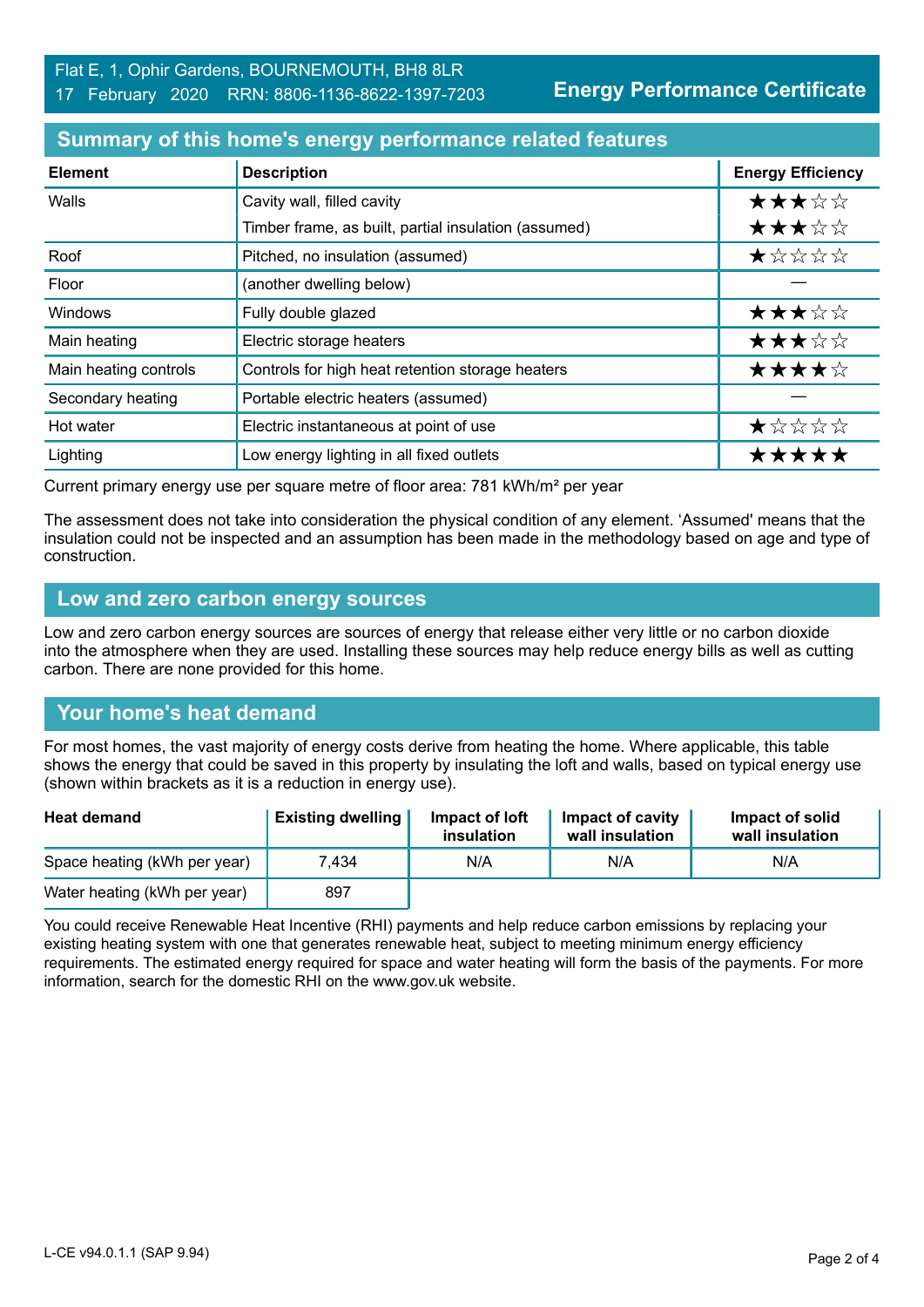**Energy Performance Certificate**

#### **Summary of this home's energy performance related features**

| <b>Element</b>        | <b>Description</b>                                   | <b>Energy Efficiency</b> |
|-----------------------|------------------------------------------------------|--------------------------|
| Walls                 | Cavity wall, filled cavity                           | ★★★☆☆                    |
|                       | Timber frame, as built, partial insulation (assumed) | ★★★☆☆                    |
| Roof                  | Pitched, no insulation (assumed)                     | ★☆☆☆☆                    |
| Floor                 | (another dwelling below)                             |                          |
| Windows               | Fully double glazed                                  | ★★★☆☆                    |
| Main heating          | Electric storage heaters                             | ★★★☆☆                    |
| Main heating controls | Controls for high heat retention storage heaters     | ★★★★☆                    |
| Secondary heating     | Portable electric heaters (assumed)                  |                          |
| Hot water             | Electric instantaneous at point of use               | ★☆☆☆☆                    |
| Lighting              | Low energy lighting in all fixed outlets             | *****                    |

Current primary energy use per square metre of floor area: 781 kWh/m² per year

The assessment does not take into consideration the physical condition of any element. 'Assumed' means that the insulation could not be inspected and an assumption has been made in the methodology based on age and type of construction.

#### **Low and zero carbon energy sources**

Low and zero carbon energy sources are sources of energy that release either very little or no carbon dioxide into the atmosphere when they are used. Installing these sources may help reduce energy bills as well as cutting carbon. There are none provided for this home.

# **Your home's heat demand**

For most homes, the vast majority of energy costs derive from heating the home. Where applicable, this table shows the energy that could be saved in this property by insulating the loft and walls, based on typical energy use (shown within brackets as it is a reduction in energy use).

| <b>Heat demand</b>           | <b>Existing dwelling</b> | Impact of loft<br>insulation | Impact of cavity<br>wall insulation | Impact of solid<br>wall insulation |
|------------------------------|--------------------------|------------------------------|-------------------------------------|------------------------------------|
| Space heating (kWh per year) | 7.434                    | N/A                          | N/A                                 | N/A                                |
| Water heating (kWh per year) | 897                      |                              |                                     |                                    |

You could receive Renewable Heat Incentive (RHI) payments and help reduce carbon emissions by replacing your existing heating system with one that generates renewable heat, subject to meeting minimum energy efficiency requirements. The estimated energy required for space and water heating will form the basis of the payments. For more information, search for the domestic RHI on the www.gov.uk website.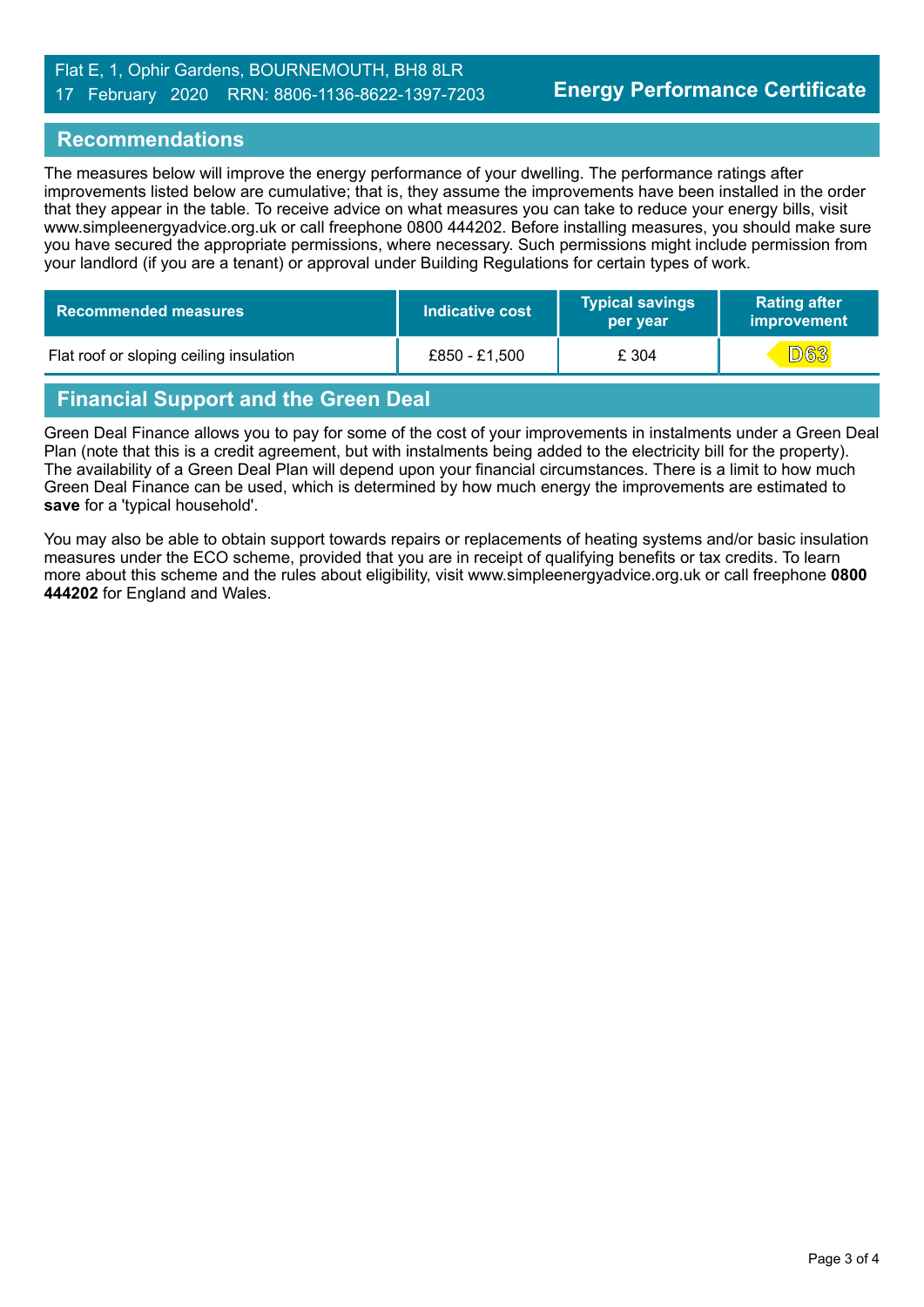#### Flat E, 1, Ophir Gardens, BOURNEMOUTH, BH8 8LR 17 February 2020 RRN: 8806-1136-8622-1397-7203

#### **Recommendations**

The measures below will improve the energy performance of your dwelling. The performance ratings after improvements listed below are cumulative; that is, they assume the improvements have been installed in the order that they appear in the table. To receive advice on what measures you can take to reduce your energy bills, visit www.simpleenergyadvice.org.uk or call freephone 0800 444202. Before installing measures, you should make sure you have secured the appropriate permissions, where necessary. Such permissions might include permission from your landlord (if you are a tenant) or approval under Building Regulations for certain types of work.

| <b>Recommended measures</b>             | <b>Indicative cost</b> | <b>Typical savings</b><br>per year | <b>Rating after</b><br>improvement |
|-----------------------------------------|------------------------|------------------------------------|------------------------------------|
| Flat roof or sloping ceiling insulation | £850 - £1,500          | £ 304                              | <b>D63</b>                         |

# **Financial Support and the Green Deal**

Green Deal Finance allows you to pay for some of the cost of your improvements in instalments under a Green Deal Plan (note that this is a credit agreement, but with instalments being added to the electricity bill for the property). The availability of a Green Deal Plan will depend upon your financial circumstances. There is a limit to how much Green Deal Finance can be used, which is determined by how much energy the improvements are estimated to **save** for a 'typical household'.

You may also be able to obtain support towards repairs or replacements of heating systems and/or basic insulation measures under the ECO scheme, provided that you are in receipt of qualifying benefits or tax credits. To learn more about this scheme and the rules about eligibility, visit www.simpleenergyadvice.org.uk or call freephone **0800 444202** for England and Wales.